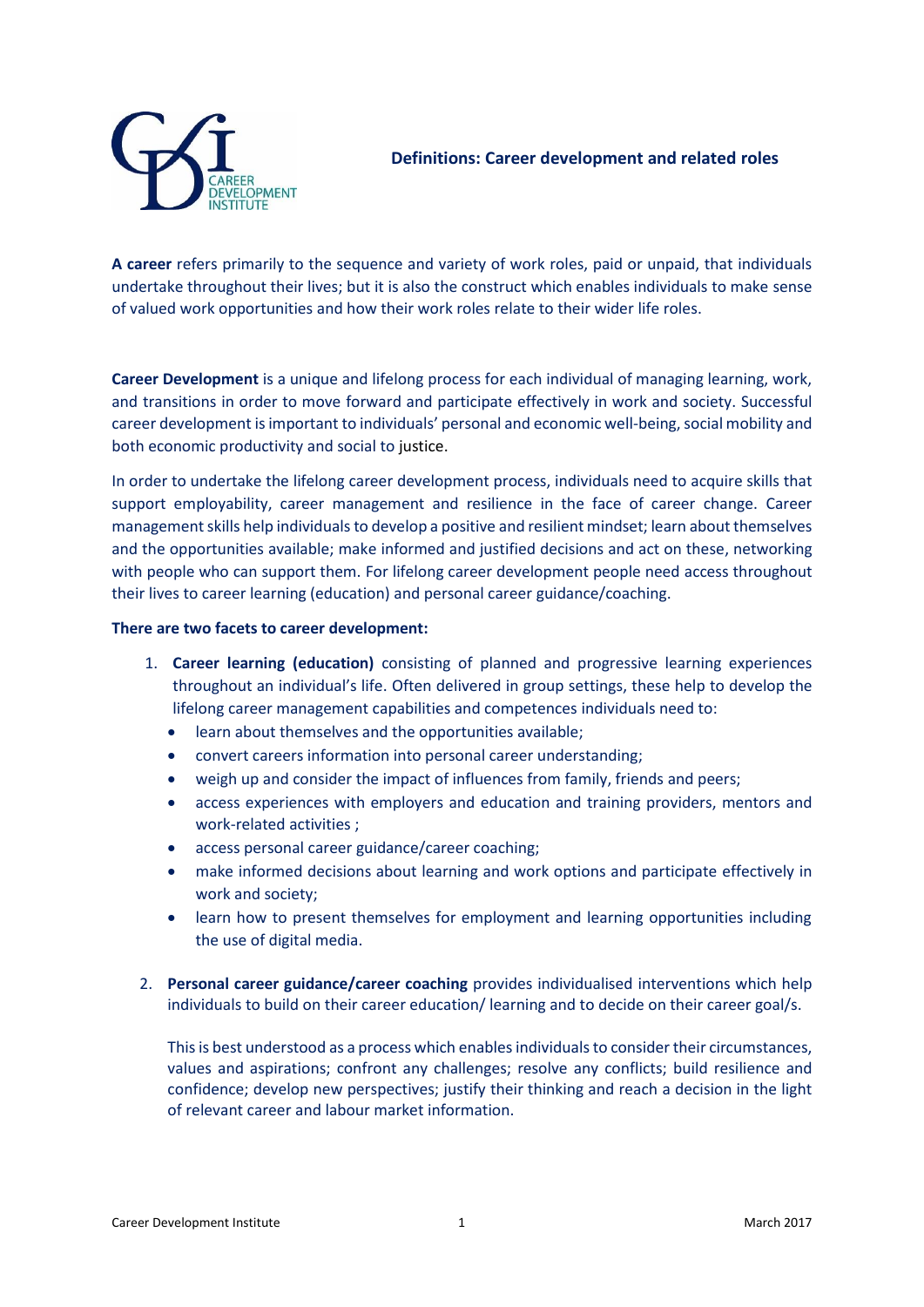

**A career** refers primarily to the sequence and variety of work roles, paid or unpaid, that individuals undertake throughout their lives; but it is also the construct which enables individuals to make sense of valued work opportunities and how their work roles relate to their wider life roles.

**Career Development** is a unique and lifelong process for each individual of managing learning, work, and transitions in order to move forward and participate effectively in work and society. Successful career development is important to individuals' personal and economic well-being, social mobility and both economic productivity and social to justice.

In order to undertake the lifelong career development process, individuals need to acquire skills that support employability, career management and resilience in the face of career change. Career management skills help individuals to develop a positive and resilient mindset; learn about themselves and the opportunities available; make informed and justified decisions and act on these, networking with people who can support them. For lifelong career development people need access throughout their lives to career learning (education) and personal career guidance/coaching.

## **There are two facets to career development:**

- 1. **Career learning (education)** consisting of planned and progressive learning experiences throughout an individual's life. Often delivered in group settings, these help to develop the lifelong career management capabilities and competences individuals need to:
	- learn about themselves and the opportunities available;
	- convert careers information into personal career understanding;
	- weigh up and consider the impact of influences from family, friends and peers;
	- access experiences with employers and education and training providers, mentors and work-related activities ;
	- access personal career guidance/career coaching;
	- make informed decisions about learning and work options and participate effectively in work and society;
	- learn how to present themselves for employment and learning opportunities including the use of digital media.
- 2. **Personal career guidance/career coaching** provides individualised interventions which help individuals to build on their career education/ learning and to decide on their career goal/s.

This is best understood as a process which enables individuals to consider their circumstances, values and aspirations; confront any challenges; resolve any conflicts; build resilience and confidence; develop new perspectives; justify their thinking and reach a decision in the light of relevant career and labour market information.